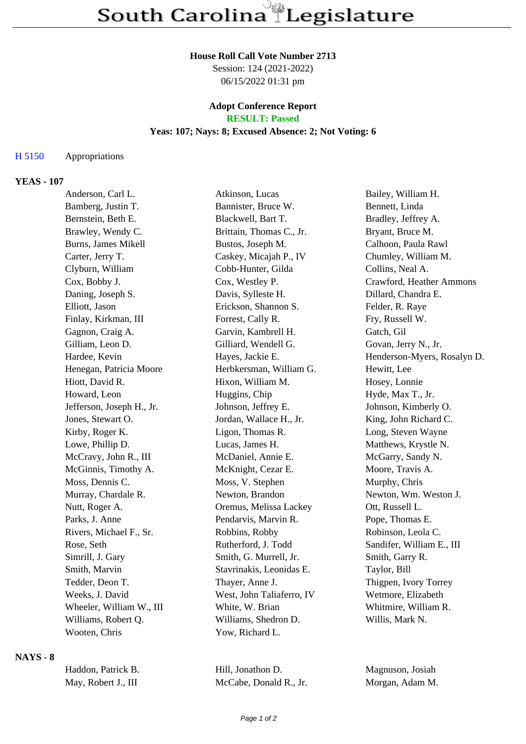### **House Roll Call Vote Number 2713**

Session: 124 (2021-2022) 06/15/2022 01:31 pm

# **Adopt Conference Report**

## **RESULT: Passed**

## **Yeas: 107; Nays: 8; Excused Absence: 2; Not Voting: 6**

#### H 5150 Appropriations

#### **YEAS - 107**

| Anderson, Carl L.          | Atkinson, Lucas           | Bailey, William H.          |
|----------------------------|---------------------------|-----------------------------|
| Bamberg, Justin T.         | Bannister, Bruce W.       | Bennett, Linda              |
| Bernstein, Beth E.         | Blackwell, Bart T.        | Bradley, Jeffrey A.         |
| Brawley, Wendy C.          | Brittain, Thomas C., Jr.  | Bryant, Bruce M.            |
| <b>Burns, James Mikell</b> | Bustos, Joseph M.         | Calhoon, Paula Rawl         |
| Carter, Jerry T.           | Caskey, Micajah P., IV    | Chumley, William M.         |
| Clyburn, William           | Cobb-Hunter, Gilda        | Collins, Neal A.            |
| Cox, Bobby J.              | Cox, Westley P.           | Crawford, Heather Ammons    |
| Daning, Joseph S.          | Davis, Sylleste H.        | Dillard, Chandra E.         |
| Elliott, Jason             | Erickson, Shannon S.      | Felder, R. Raye             |
| Finlay, Kirkman, III       | Forrest, Cally R.         | Fry, Russell W.             |
| Gagnon, Craig A.           | Garvin, Kambrell H.       | Gatch, Gil                  |
| Gilliam, Leon D.           | Gilliard, Wendell G.      | Govan, Jerry N., Jr.        |
| Hardee, Kevin              | Hayes, Jackie E.          | Henderson-Myers, Rosalyn D. |
| Henegan, Patricia Moore    | Herbkersman, William G.   | Hewitt, Lee                 |
| Hiott, David R.            | Hixon, William M.         | Hosey, Lonnie               |
| Howard, Leon               | Huggins, Chip             | Hyde, Max T., Jr.           |
| Jefferson, Joseph H., Jr.  | Johnson, Jeffrey E.       | Johnson, Kimberly O.        |
| Jones, Stewart O.          | Jordan, Wallace H., Jr.   | King, John Richard C.       |
| Kirby, Roger K.            | Ligon, Thomas R.          | Long, Steven Wayne          |
| Lowe, Phillip D.           | Lucas, James H.           | Matthews, Krystle N.        |
| McCravy, John R., III      | McDaniel, Annie E.        | McGarry, Sandy N.           |
| McGinnis, Timothy A.       | McKnight, Cezar E.        | Moore, Travis A.            |
| Moss, Dennis C.            | Moss, V. Stephen          | Murphy, Chris               |
| Murray, Chardale R.        | Newton, Brandon           | Newton, Wm. Weston J.       |
| Nutt, Roger A.             | Oremus, Melissa Lackey    | Ott, Russell L.             |
| Parks, J. Anne             | Pendarvis, Marvin R.      | Pope, Thomas E.             |
| Rivers, Michael F., Sr.    | Robbins, Robby            | Robinson, Leola C.          |
| Rose, Seth                 | Rutherford, J. Todd       | Sandifer, William E., III   |
| Simrill, J. Gary           | Smith, G. Murrell, Jr.    | Smith, Garry R.             |
| Smith, Marvin              | Stavrinakis, Leonidas E.  | Taylor, Bill                |
| Tedder, Deon T.            | Thayer, Anne J.           | Thigpen, Ivory Torrey       |
| Weeks, J. David            | West, John Taliaferro, IV | Wetmore, Elizabeth          |
| Wheeler, William W., III   | White, W. Brian           | Whitmire, William R.        |
| Williams, Robert Q.        | Williams, Shedron D.      | Willis, Mark N.             |
| Wooten, Chris              | Yow, Richard L.           |                             |

## **NAYS - 8**

| Haddon, Patrick B.  | Hill, Jonathon D.      | Magnuson, Josiah |
|---------------------|------------------------|------------------|
| May, Robert J., III | McCabe, Donald R., Jr. | Morgan, Adam M.  |